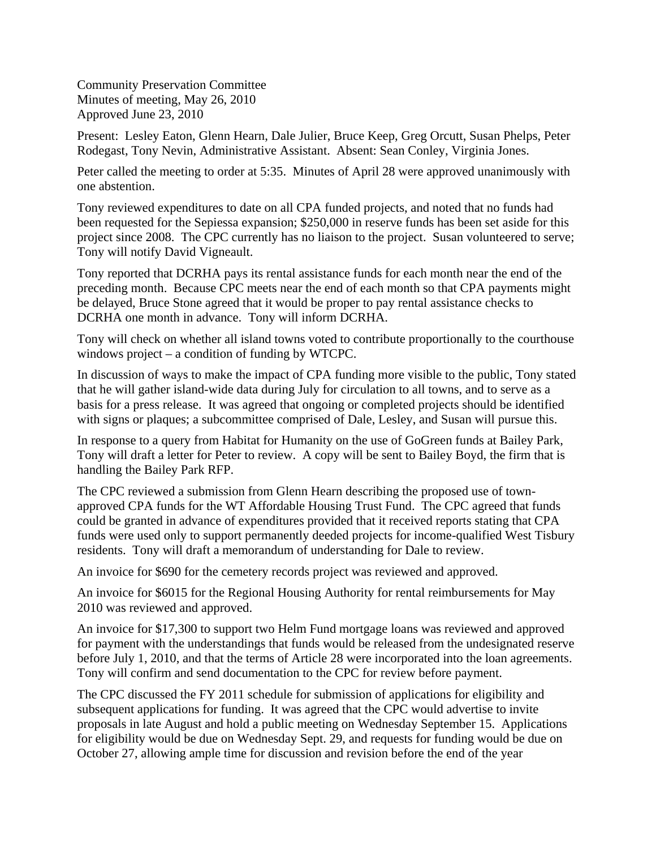Community Preservation Committee Minutes of meeting, May 26, 2010 Approved June 23, 2010

Present: Lesley Eaton, Glenn Hearn, Dale Julier, Bruce Keep, Greg Orcutt, Susan Phelps, Peter Rodegast, Tony Nevin, Administrative Assistant. Absent: Sean Conley, Virginia Jones.

Peter called the meeting to order at 5:35. Minutes of April 28 were approved unanimously with one abstention.

Tony reviewed expenditures to date on all CPA funded projects, and noted that no funds had been requested for the Sepiessa expansion; \$250,000 in reserve funds has been set aside for this project since 2008. The CPC currently has no liaison to the project. Susan volunteered to serve; Tony will notify David Vigneault.

Tony reported that DCRHA pays its rental assistance funds for each month near the end of the preceding month. Because CPC meets near the end of each month so that CPA payments might be delayed, Bruce Stone agreed that it would be proper to pay rental assistance checks to DCRHA one month in advance. Tony will inform DCRHA.

Tony will check on whether all island towns voted to contribute proportionally to the courthouse windows project – a condition of funding by WTCPC.

In discussion of ways to make the impact of CPA funding more visible to the public, Tony stated that he will gather island-wide data during July for circulation to all towns, and to serve as a basis for a press release. It was agreed that ongoing or completed projects should be identified with signs or plaques; a subcommittee comprised of Dale, Lesley, and Susan will pursue this.

In response to a query from Habitat for Humanity on the use of GoGreen funds at Bailey Park, Tony will draft a letter for Peter to review. A copy will be sent to Bailey Boyd, the firm that is handling the Bailey Park RFP.

The CPC reviewed a submission from Glenn Hearn describing the proposed use of townapproved CPA funds for the WT Affordable Housing Trust Fund. The CPC agreed that funds could be granted in advance of expenditures provided that it received reports stating that CPA funds were used only to support permanently deeded projects for income-qualified West Tisbury residents. Tony will draft a memorandum of understanding for Dale to review.

An invoice for \$690 for the cemetery records project was reviewed and approved.

An invoice for \$6015 for the Regional Housing Authority for rental reimbursements for May 2010 was reviewed and approved.

An invoice for \$17,300 to support two Helm Fund mortgage loans was reviewed and approved for payment with the understandings that funds would be released from the undesignated reserve before July 1, 2010, and that the terms of Article 28 were incorporated into the loan agreements. Tony will confirm and send documentation to the CPC for review before payment.

The CPC discussed the FY 2011 schedule for submission of applications for eligibility and subsequent applications for funding. It was agreed that the CPC would advertise to invite proposals in late August and hold a public meeting on Wednesday September 15. Applications for eligibility would be due on Wednesday Sept. 29, and requests for funding would be due on October 27, allowing ample time for discussion and revision before the end of the year